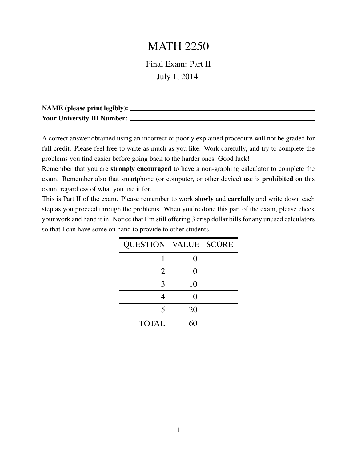## MATH 2250

Final Exam: Part II July 1, 2014

| <b>NAME</b> (please print legibly): |  |
|-------------------------------------|--|
| Your University ID Number:          |  |

A correct answer obtained using an incorrect or poorly explained procedure will not be graded for full credit. Please feel free to write as much as you like. Work carefully, and try to complete the problems you find easier before going back to the harder ones. Good luck!

Remember that you are strongly encouraged to have a non-graphing calculator to complete the exam. Remember also that smartphone (or computer, or other device) use is prohibited on this exam, regardless of what you use it for.

This is Part II of the exam. Please remember to work slowly and carefully and write down each step as you proceed through the problems. When you're done this part of the exam, please check your work and hand it in. Notice that I'm still offering 3 crisp dollar bills for any unused calculators so that I can have some on hand to provide to other students.

| <b>QUESTION</b> | <b>VALUE</b> | <b>SCORE</b> |
|-----------------|--------------|--------------|
|                 | 10           |              |
| 2               | 10           |              |
| 3               | 10           |              |
|                 | 10           |              |
| 5               | 20           |              |
| <b>TOTAL</b>    | 60           |              |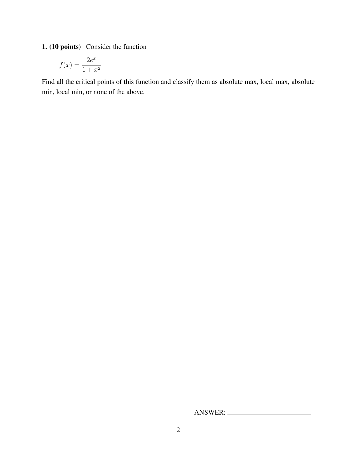1. (10 points) Consider the function

$$
f(x) = \frac{2e^x}{1+x^2}
$$

Find all the critical points of this function and classify them as absolute max, local max, absolute min, local min, or none of the above.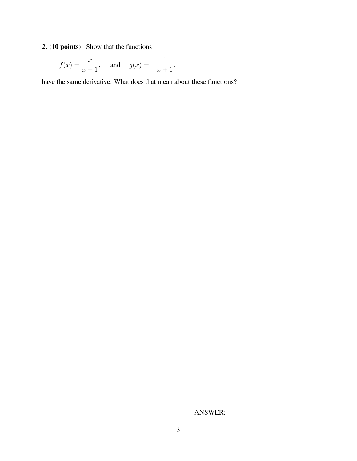2. (10 points) Show that the functions

$$
f(x) = \frac{x}{x+1}
$$
, and  $g(x) = -\frac{1}{x+1}$ .

have the same derivative. What does that mean about these functions?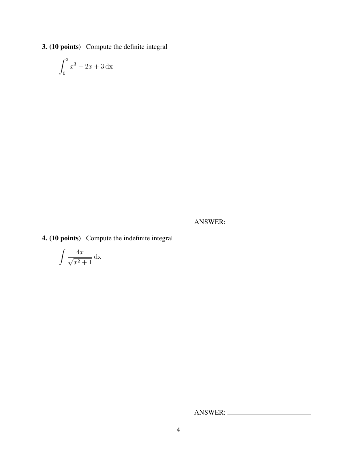3. (10 points) Compute the definite integral

$$
\int_0^3 x^3 - 2x + 3 \, dx
$$

ANSWER:

4. (10 points) Compute the indefinite integral

$$
\int \frac{4x}{\sqrt{x^2 + 1}} \, \mathrm{dx}
$$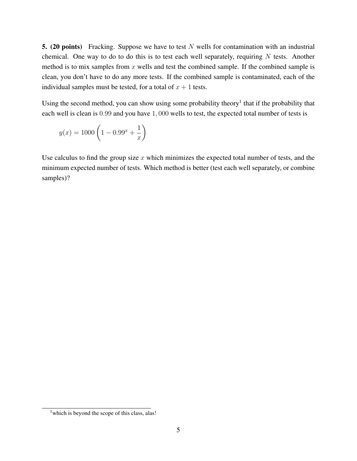5. (20 points) Fracking. Suppose we have to test  $N$  wells for contamination with an industrial chemical. One way to do to do this is to test each well separately, requiring  $N$  tests. Another method is to mix samples from  $x$  wells and test the combined sample. If the combined sample is clean, you don't have to do any more tests. If the combined sample is contaminated, each of the individual samples must be tested, for a total of  $x + 1$  tests.

Using the second method, you can show using some probability theory<sup>1</sup> that if the probability that each well is clean is 0.99 and you have 1, 000 wells to test, the expected total number of tests is

$$
y(x) = 1000 \left( 1 - 0.99^{x} + \frac{1}{x} \right)
$$

Use calculus to find the group size  $x$  which minimizes the expected total number of tests, and the minimum expected number of tests. Which method is better (test each well separately, or combine samples)?

<sup>&</sup>lt;sup>1</sup> which is beyond the scope of this class, alas!